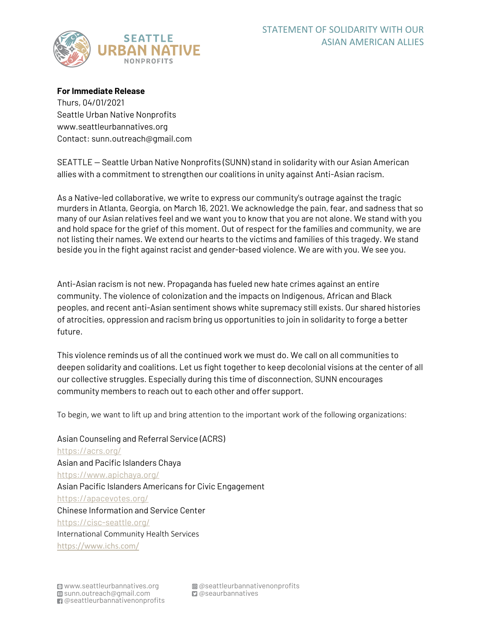

**For Immediate Release** Thurs, 04/01/2021 Seattle Urban Native Nonprofits www.seattleurbannatives.org Contact: sunn.outreach@gmail.com

SEATTLE — Seattle Urban Native Nonprofits (SUNN) stand in solidarity with our Asian American allies with a commitment to strengthen our coalitions in unity against Anti-Asian racism.

As a Native-led collaborative, we write to express our community's outrage against the tragic murders in Atlanta, Georgia, on March 16, 2021. We acknowledge the pain, fear, and sadness that so many of our Asian relatives feel and we want you to know that you are not alone. We stand with you and hold space for the grief of this moment. Out of respect for the families and community, we are not listing their names. We extend our hearts to the victims and families of this tragedy. We stand beside you in the fight against racist and gender-based violence. We are with you. We see you.

Anti-Asian racism is not new. Propaganda has fueled new hate crimes against an entire community. The violence of colonization and the impacts on Indigenous, African and Black peoples, and recent anti-Asian sentiment shows white supremacy still exists. Our shared histories of atrocities, oppression and racism bring us opportunities to join in solidarity to forge a better future.

This violence reminds us of all the continued work we must do. We call on all communities to deepen solidarity and coalitions. Let us fight together to keep decolonial visions at the center of all our collective struggles. Especially during this time of disconnection, SUNN encourages community members to reach out to each other and offer support.

To begin, we want to lift up and bring attention to the important work of the following organizations:

Asian Counseling and Referral Service (ACRS) https://acrs.org/ Asian and Pacific Islanders Chaya https://www.apichaya.org/ Asian Pacific Islanders Americans for Civic Engagement https://apacevotes.org/ Chinese Information and Service Center https://cisc-seattle.org/ International Community Health Services https://www.ichs.com/

@ @ seattleurbannativenon profits  $\Box$  @seaurbannatives